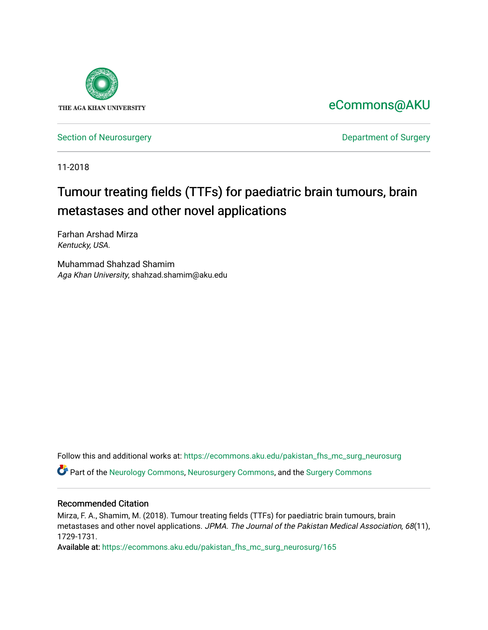

[eCommons@AKU](https://ecommons.aku.edu/) 

[Section of Neurosurgery](https://ecommons.aku.edu/pakistan_fhs_mc_surg_neurosurg) **Department of Surgery** Department of Surgery

11-2018

# Tumour treating fields (TTFs) for paediatric brain tumours, brain metastases and other novel applications

Farhan Arshad Mirza Kentucky, USA.

Muhammad Shahzad Shamim Aga Khan University, shahzad.shamim@aku.edu

Follow this and additional works at: [https://ecommons.aku.edu/pakistan\\_fhs\\_mc\\_surg\\_neurosurg](https://ecommons.aku.edu/pakistan_fhs_mc_surg_neurosurg?utm_source=ecommons.aku.edu%2Fpakistan_fhs_mc_surg_neurosurg%2F165&utm_medium=PDF&utm_campaign=PDFCoverPages) 

Part of the [Neurology Commons](http://network.bepress.com/hgg/discipline/692?utm_source=ecommons.aku.edu%2Fpakistan_fhs_mc_surg_neurosurg%2F165&utm_medium=PDF&utm_campaign=PDFCoverPages), [Neurosurgery Commons](http://network.bepress.com/hgg/discipline/1428?utm_source=ecommons.aku.edu%2Fpakistan_fhs_mc_surg_neurosurg%2F165&utm_medium=PDF&utm_campaign=PDFCoverPages), and the [Surgery Commons](http://network.bepress.com/hgg/discipline/706?utm_source=ecommons.aku.edu%2Fpakistan_fhs_mc_surg_neurosurg%2F165&utm_medium=PDF&utm_campaign=PDFCoverPages) 

## Recommended Citation

Mirza, F. A., Shamim, M. (2018). Tumour treating fields (TTFs) for paediatric brain tumours, brain metastases and other novel applications. JPMA. The Journal of the Pakistan Medical Association, 68(11), 1729-1731.

Available at: [https://ecommons.aku.edu/pakistan\\_fhs\\_mc\\_surg\\_neurosurg/165](https://ecommons.aku.edu/pakistan_fhs_mc_surg_neurosurg/165)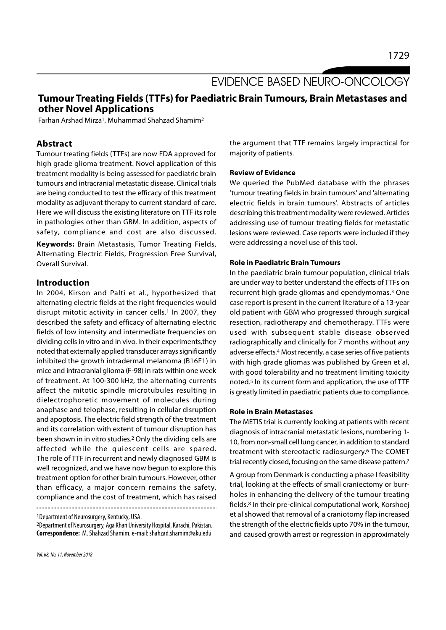# EVIDENCE BASED NEURO-ONCOLOGY

# Tumour Treating Fields (TTFs) for Paediatric Brain Tumours, Brain Metastases and other Novel Applications

Farhan Arshad Mirza<sup>1</sup>, Muhammad Shahzad Shamim<sup>2</sup>

# Abstract

Tumour treating fields (TTFs) are now FDA approved for high grade glioma treatment. Novel application of this treatment modality is being assessed for paediatric brain tumours and intracranial metastatic disease. Clinical trials are being conducted to test the efficacy of this treatment modality as adjuvant therapy to current standard of care. Here we will discuss the existing literature on TTF its role in pathologies other than GBM. In addition, aspects of safety, compliance and cost are also discussed.

Keywords: Brain Metastasis, Tumor Treating Fields, Alternating Electric Fields, Progression Free Survival, Overall Survival.

### Introduction

In 2004, Kirson and Palti et al., hypothesized that alternating electric fields at the right frequencies would disrupt mitotic activity in cancer cells.<sup>1</sup> In 2007, they described the safety and efficacy of alternating electric fields of low intensity and intermediate frequencies on dividing cells in vitro and in vivo. In their experiments,they noted that externally applied transducer arrays significantly inhibited the growth intradermal melanoma (B16F1) in mice and intracranial glioma (F-98) in rats within one week of treatment. At 100-300 kHz, the alternating currents affect the mitotic spindle microtubules resulting in dielectrophoretic movement of molecules during anaphase and telophase, resulting in cellular disruption and apoptosis. The electric field strength of the treatment and its correlation with extent of tumour disruption has been shown in in vitro studies.2 Only the dividing cells are affected while the quiescent cells are spared. The role of TTF in recurrent and newly diagnosed GBM is well recognized, and we have now begun to explore this treatment option for other brain tumours. However, other than efficacy, a major concern remains the safety, compliance and the cost of treatment, which has raised

<sup>1</sup>Department of Neurosurgery, Kentucky, USA.

<sup>2</sup>Department of Neurosurgery, Aga Khan University Hospital, Karachi, Pakistan. Correspondence: M. Shahzad Shamim. e-mail: shahzad.shamim@aku.edu

the argument that TTF remains largely impractical for majority of patients.

#### Review of Evidence

We queried the PubMed database with the phrases 'tumour treating fields in brain tumours' and 'alternating electric fields in brain tumours'. Abstracts of articles describing this treatment modality were reviewed. Articles addressing use of tumour treating fields for metastatic lesions were reviewed. Case reports were included if they were addressing a novel use of this tool.

#### Role in Paediatric Brain Tumours

In the paediatric brain tumour population, clinical trials are under way to better understand the effects of TTFs on recurrent high grade gliomas and ependymomas.3 One case report is present in the current literature of a 13-year old patient with GBM who progressed through surgical resection, radiotherapy and chemotherapy. TTFs were used with subsequent stable disease observed radiographically and clinically for 7 months without any adverse effects.4 Most recently, a case series of five patients with high grade gliomas was published by Green et al, with good tolerability and no treatment limiting toxicity noted.5 In its current form and application, the use of TTF is greatly limited in paediatric patients due to compliance.

#### Role in Brain Metastases

The METIS trial is currently looking at patients with recent diagnosis of intracranial metastatic lesions, numbering 1- 10, from non-small cell lung cancer, in addition to standard treatment with stereotactic radiosurgery.6 The COMET trial recently closed, focusing on the same disease pattern.7

A group from Denmark is conducting a phase I feasibility trial, looking at the effects of small craniectomy or burrholes in enhancing the delivery of the tumour treating fields.8 In their pre-clinical computational work, Korshoej et al showed that removal of a craniotomy flap increased the strength of the electric fields upto 70% in the tumour, and caused growth arrest or regression in approximately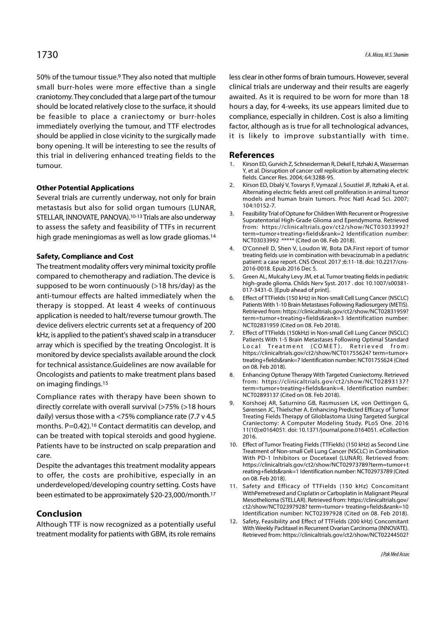50% of the tumour tissue.9 They also noted that multiple small burr-holes were more effective than a single craniotomy. They concluded that a large part of the tumour should be located relatively close to the surface, it should be feasible to place a craniectomy or burr-holes immediately overlying the tumour, and TTF electrodes should be applied in close vicinity to the surgically made bony opening. It will be interesting to see the results of this trial in delivering enhanced treating fields to the tumour.

### Other Potential Applications

Several trials are currently underway, not only for brain metastasis but also for solid organ tumours (LUNAR,<br>
STELLAR INNOVATE PANOVAN 10.12 Trials are also under use 3. STELLAR, INNOVATE, PANOVA).<sup>10-13</sup> Trials are also underway and Experiences in High Crade Clinna and Enendymana Batriaugh to assess the safety and feasibility of TTFs in recurrent high grade meningiomas as well as low grade gliomas.14

#### Safety, Compliance and Cost

The treatment modality offers very minimal toxicity profile compared to chemotherapy and radiation. The device is 5. Green AL, Mulcahy Levy JM, et al. Tumor treating fields in pediatric supposed to be worn continuously (>18 hrs/day) as the anti-tumour effects are halted immediately when the 6. Effect of TTFields (150 kHz) in Non-small Cell Lung Cancer (NSCLC) therapy is stopped. At least 4 weeks of continuous application is needed to halt/reverse tumour growth. The device delivers electric currents set at a frequency of 200 NCT02831959 (Cited on 08. Feb 2018).<br>LHz is annlied to the patient's shaved scalp in a transducer 7. Effect of TTFields (150kHz) in Non-small Cell Lung Cancer (NS kHz, is applied to the patient's shaved scalp in a transducer  $3.5$ array which is specified by the treating Oncologist. It is Local Treatment (COMET). Retrieved from: monitored by device specialists available around the clock for technical assistance.Guidelines are now available for Oncologists and patients to make treatment plans based <br>8. Enhancing Optune Therapy With Targeted Craniectomy. Retrieved on imaging findings.15

Compliance rates with therapy have been shown to<br>directly according unit because the with accord to the wind (a 750) (a 10 hours 9. Korshoej AR, Saturnino GB, Rasmussen LK, von Oettingen G, directly correlate with overall survival (>75% (>18 hours daily) versus those with a <75% compliance rate (7.7 v 4.5 months. P=0.42).16 Contact dermatitis can develop, and can be treated with topical steroids and good hygiene. Patients have to be instructed on scalp preparation and 10. Effect of Tumor Treating Fields (TTFields) (150 kHz) as Second Line care.

Despite the advantages this treatment modality appears to offer, the costs are prohibitive, especially in an underdeveloped/developing country setting. Costs have 11. Safety and Efficacy of TTFields (150 kHz) Concomitant been estimated to be approximately \$20-23,000/month.17

### Conclusion

treatment modality for patients with GBM, its role remains

less clear in other forms of brain tumours. However, several clinical trials are underway and their results are eagerly awaited. As it is required to be worn for more than 18 hours a day, for 4-weeks, its use appears limited due to compliance, especially in children. Cost is also a limiting factor, although as is true for all technological advances, it is likely to improve substantially with time. ress crear in other forms of brain tumours. However, several<br>clinical trials are underway and their results are eagerly<br>awaited. As it is required to be worn for more than 18<br>hours a day, for 4-weeks, its use appears limit Alternative Compliance, especially in children. Cost is also a limiting factor, although as is true for all technological advances,<br>ti is likely to improve substantially with time.<br>**References**<br>1. Kirson ED, Gurvich Z, Sch

#### References

- Y, et al. Disruption of cancer cell replication by alternating electric fields. Cancer Res. 2004; 64:3288-95.
- Alternating electric fields arrest cell proliferation in animal tumor models and human brain tumors. Proc Natl Acad Sci. 2007; 104:10152-7.
- Fractor, although as is true for all dechnological advances,<br>
it is likely to improve substantially with time.<br> **References**<br>
1. Kirson ED, Gurvich Z, Schneiderman R, Dekel E, Itzhaki A, Wasserman<br>  $Y$ , et al. Disruption Supratentorial High-Grade Glioma and Ependymoma. Retrieved from: https://clinicaltrials.gov/ct2/show/NCT03033992? term=tumor+treating+fields&rank=2 Identification number: NCT03033992 \*\*\*\*\* (Cited on 08. Feb 2018). 1. Kirson ED, Gurvich Z, Schneiderman R, Dekel E, Itzhaki A, Wasserman<br>
Y, et al. Disruption of cancer cell replication by alternating electric<br>
fields. Cancer Res. 2004; 64:3288-95.<br>
2. Kirson ED, Dbalý V, Tovarys F, Vyma Alternating electric fields arrest cell proliferation in animal tumor<br>models and human brain tumors. Proc Natl Acad Sci. 2007;<br>104:10152-7.<br>5. Feasibility Trial of Optune for Children With Recurrent or Progressive<br>Supraten
- treating fields use in combination with bevacizumab in a pediatric patient: a case report. CNS Oncol. 2017 ;6:11-18. doi: 10.2217/cns-2016-0018. Epub 2016 Dec 5.
- high-grade glioma. Childs Nerv Syst. 2017 . doi: 10.1007/s00381- 017-3431-0. [Epub ahead of print].
- 3. Feasibility Trial of Optune for Children With Recurrent or Progressive<br>
Supratentorial High-Grade Glioma and Ependymoma. Retrieved<br>
from: https://clinicatirials.gov/ct2/show/NCT03033992?<br>
term=tumor+treating+fields&rank Patients With 1-10 Brain Metastases Following Radiosurgery (METIS). Retrieved from: https://clinicaltrials.gov/ct2/show/NCT02831959? term=tumor+treating+fields&rank=3 Identification number: NCT02831959 (Cited on 08. Feb 2018).
- 4. O'Connell D, Shen V, Loudon W, Bota DA.First report of tumor<br>treating fields use in combination with bevacizumab in a pediatric<br>patient : a case report. CNS Oncol. 2017 ;6:11-18. doi: 10.2217/cns-<br>2016-0018. Epub 2016 D Patients With 1-5 Brain Metastases Following Optimal Standard patient: a case report. CNS Oncol. 2017 ;6:11-18. doi: 10.2217/cns-<br>2016-0018. Epub 2016 Dec 5.<br>Green AL, Mulcahy Levy JM, et al. Tumor treating fields in pediatric<br>high-grade glioma. Childs Nerv Syst. 2017 . doi: 10.1007/ https://clinicaltrials.gov/ct2/show/NCT01755624? term=tumor+ treating+fields&rank=7 Identification number: NCT01755624 (Cited on 08. Feb 2018). 017-3431-0. [Epub ahead of print].<br>
6. Effect of TTFields (150 kHz) in Non-small Cell Lung Cancer (NSCLC)<br>
Patients With 1-10 Brain Metastases Following Radiosurgery (METIS).<br>
Retrieved from: https://clinicaltrials.gov/ct2 term=tumor+treating+fields&rank=3 ldentification number:<br>
NCT02831959 (Cited on 08. Feb 2018).<br>
7. Effect of TTFields (150kHz) in Non-small Cell Lung Cancer (NSCLC)<br>
Patients With 1-5 Brain Metastases Following Optimal Sta
- from: https://clinicaltrials.gov/ct2/show/NCT02893137? term=tumor+treating+fields&rank=4. Identification number: NCT02893137 (Cited on 08. Feb 2018).
- Sørensen JC, Thielscher A. Enhancing Predicted Efficacy of Tumor Treating Fields Therapy of Glioblastoma Using Targeted Surgical Craniectomy: A Computer Modeling Study. PLoS One. 2016 11(10):e0164051. doi: 10.1371/journal.pone.0164051. eCollection 2016. treating+fields&rank=7 ldentification number: NCT01755624 (Cited<br>on 08. Feb 2018).<br>8. Enhancing Optune Therapy With Targeted Craniectomy. Retrieved<br>from: https://clinicaltrials.gov/ct2/show/NCT02893137?<br>term=tumor+treating
- Treatment of Non-small Cell Lung Cancer (NSCLC) in Combination With PD-1 Inhibitors or Docetaxel (LUNAR). Retrieved from: https://clinicaltrials.gov/ct2/show/NCT02973789?term=tumor+t reating+fields&rank=1 Identification number: NCT02973789 (Cited on 08. Feb 2018). 9. Korshoej AR, Saturnino GB, Rasmussen LK, von Oettingen G,<br>Sørensen JC, Thielscher A. Enhancing Predicted Efficacy of Tumor<br>Treating Fields Therapy of Glioblastoma Using Targeted Surgical<br>Craniectomy: A Computer Modeling 2016.<br>
10. Effect of Tumor Treating Fields (TTFields) (150 kHz) as Second Line<br>
Treatment of Non-small Cell Lung Cancer (NSCLC) in Combination<br>
With PD-1 Inhibitors or Docetaxel (LUNAR). Retrieved from:<br>
https://clinicaltr
- WithPemetrexed and Cisplatin or Carboplatin in Malignant Pleural Mesothelioma (STELLAR). Retrieved from: https://clinicaltrials.gov/ ct2/show/NCT02397928? term=tumor+ treating+fields&rank=10 Identification number: NCT02397928 (Cited on 08. Feb 2018).
- Although TTF is now recognized as a potentially useful lack that Meakly Bellinual in Beginned Quarino (ANOVATE) With Weekly Paclitaxel in Recurrent Ovarian Carcinoma (INNOVATE). Retrieved from: https://clinicaltrials.gov/ct2/show/NCT02244502?